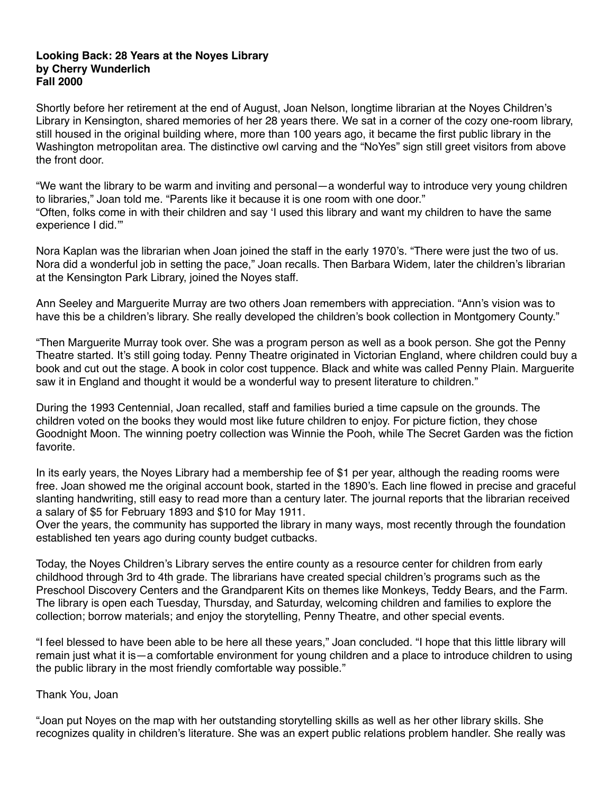## **Looking Back: 28 Years at the Noyes Library by Cherry Wunderlich Fall 2000**

Shortly before her retirement at the end of August, Joan Nelson, longtime librarian at the Noyes Children's Library in Kensington, shared memories of her 28 years there. We sat in a corner of the cozy one-room library, still housed in the original building where, more than 100 years ago, it became the first public library in the Washington metropolitan area. The distinctive owl carving and the "NoYes" sign still greet visitors from above the front door.

"We want the library to be warm and inviting and personal—a wonderful way to introduce very young children to libraries," Joan told me. "Parents like it because it is one room with one door." "Often, folks come in with their children and say 'I used this library and want my children to have the same experience I did.'"

Nora Kaplan was the librarian when Joan joined the staff in the early 1970's. "There were just the two of us. Nora did a wonderful job in setting the pace," Joan recalls. Then Barbara Widem, later the children's librarian at the Kensington Park Library, joined the Noyes staff.

Ann Seeley and Marguerite Murray are two others Joan remembers with appreciation. "Ann's vision was to have this be a children's library. She really developed the children's book collection in Montgomery County."

"Then Marguerite Murray took over. She was a program person as well as a book person. She got the Penny Theatre started. It's still going today. Penny Theatre originated in Victorian England, where children could buy a book and cut out the stage. A book in color cost tuppence. Black and white was called Penny Plain. Marguerite saw it in England and thought it would be a wonderful way to present literature to children."

During the 1993 Centennial, Joan recalled, staff and families buried a time capsule on the grounds. The children voted on the books they would most like future children to enjoy. For picture fiction, they chose Goodnight Moon. The winning poetry collection was Winnie the Pooh, while The Secret Garden was the fiction favorite.

In its early years, the Noyes Library had a membership fee of \$1 per year, although the reading rooms were free. Joan showed me the original account book, started in the 1890's. Each line flowed in precise and graceful slanting handwriting, still easy to read more than a century later. The journal reports that the librarian received a salary of \$5 for February 1893 and \$10 for May 1911.

Over the years, the community has supported the library in many ways, most recently through the foundation established ten years ago during county budget cutbacks.

Today, the Noyes Children's Library serves the entire county as a resource center for children from early childhood through 3rd to 4th grade. The librarians have created special children's programs such as the Preschool Discovery Centers and the Grandparent Kits on themes like Monkeys, Teddy Bears, and the Farm. The library is open each Tuesday, Thursday, and Saturday, welcoming children and families to explore the collection; borrow materials; and enjoy the storytelling, Penny Theatre, and other special events.

"I feel blessed to have been able to be here all these years," Joan concluded. "I hope that this little library will remain just what it is—a comfortable environment for young children and a place to introduce children to using the public library in the most friendly comfortable way possible."

## Thank You, Joan

"Joan put Noyes on the map with her outstanding storytelling skills as well as her other library skills. She recognizes quality in children's literature. She was an expert public relations problem handler. She really was